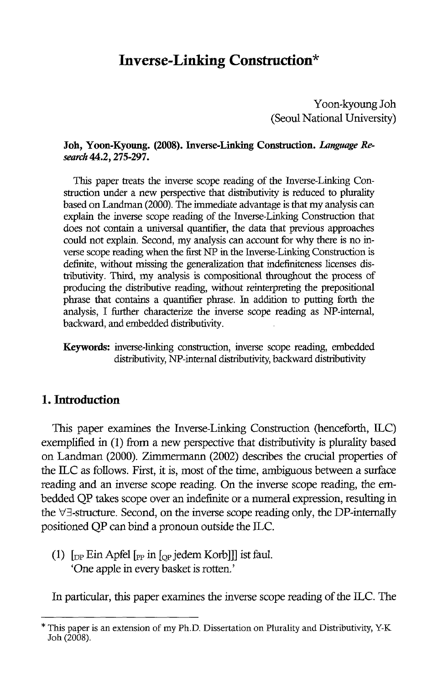# **Inverse-Linking Construction\***

Yoon-kyoung Joh (Seoul National University)

#### Joh, Yoon-Kyoung. (2008). Inverse-Linking Construction. *Language Research* 44.2, 275-297.

This paper treats the inverse scope reading of the Inverse-Linking Construction under a new perspective that distributivity is reduced to plurality based on Landman (2000). The immediate advantage is that my analysis can explain the inverse scope reading of the Inverse-Linking Construction that does not contain a universal quantifier, the data that previous approaches could not explain. Second, my analysis can account for why there is no inverse scope reading when the first NP in the Inverse-Linking Construction is definite, without missing the generalization that indefiniteness licenses distributivity. Tlrird, my analysis is compositionaI throughout the process of producing the distributive reading, without reinterpreting the prepositional phrase that contains a quantifier phrase. In addition to putting forth the analysis, I further characterize the inverse scope reading as NP-intemal, backward, and embedded distributivity.

Keywords: inverse-linking construction, inverse scope reading, embedded distributivity, NP-intemal distributivity, backward distributivity

### **1. Introduction**

This paper examines the Inverse-Linking Construction (henceforth, ILC) exemplified in (1) from a new perspective that distributivity is plurality based on Landman (2000). Zimmermann (2002) describes the crucial properties of the ILC as follows. First, it is, most of the time, ambiguous between a surface reading and an inverse scope reading. On the inverse scope reading, the embedded QP takes scope over an indefinite or a numeral expression, resulting in the  $\forall \exists$ -structure. Second, on the inverse scope reading only, the DP-internally positioned QP can bind a pronoun outside the ILe.

(1)  $\lceil \frac{\text{D}}{\text{D}} \rceil$  Ein Apfel  $\lceil \frac{\text{D}}{\text{D}} \rceil$  in  $\lceil \frac{\text{D}}{\text{D}} \rceil$  jedem Korb]] ist faul. 'One apple in every basket is rotten.'

In particular, this paper examines the inverse scope reading of the ILC. The

This paper is an extension of my Ph.D. Dissertation on Plurality and Distributivity, Y-K Joh (2008).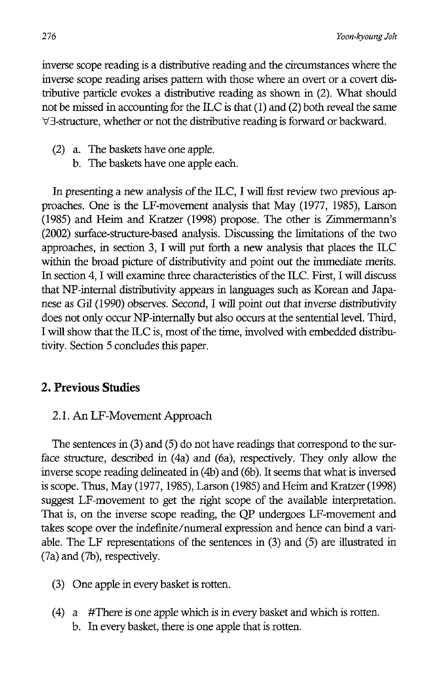inverse scope reading is a distributive reading and the circumstances where the inverse scope reading arises pattern with those where an overt or a covert distributive particle evokes a distributive reading as shown in (2). What should not be missed in accounting for the ILC is that  $(1)$  and  $(2)$  both reveal the same 'y/3-structure, whether or not the distributive reading is forward or backward.

- (2) a. The baskets have one apple.
	- b. The baskets have one apple each.

In presenting a new analysis of the ILC, I will first review two previous approaches. One is the LF-movement analysis that May (1977, 1985), Larson (1985) and Heim and Kratzer (1998) propose. The other is Zimmermann's (2002) surface-structure-based analysis. Discussing the limitations of the two approaches, in section 3, I will put forth a new analysis that places the ILC within the broad picture of distributivity and point out the immediate merits. In section 4, I will examine three characteristics of the ILC. First, I will discuss that NP-intemal distributivity appears in languages such as Korean and Japanese as Gil (1990) observes. Second, I will point out that inverse distributivity does not only occur NP-internally but also occurs at the sentential level. Third, I will show that the ILC is, most of the time, involved with embedded distributivity. Section 5 concludes this paper.

# **2. Previous Studies**

# 2.1. An LF -Movement Approach

The sentences in (3) and (5) do not have readings that correspond to the surface structure, described in (4a) and (6a), respectively. They only allow the inverse scope reading delineated in (4b) and (6b). It seems that what is inversed is scope. Thus, May (1977, 1985), Larson (1985) and Heim and Kratzer (1998) suggest LF-movement to get the right scope of the available interpretation. That is, on the inverse scope reading, the QP undergoes LF-movement and takes scope over the indefinite/numeral expression and hence can bind a variable. The LF representations of the sentences in (3) and (5) are illustrated in (7a) and (7b), respectively.

- (3) One apple in every basket is rotten.
- (4) a #There is one apple which is in every basket and which is rotten. b. In every basket, there is one apple that is rotten.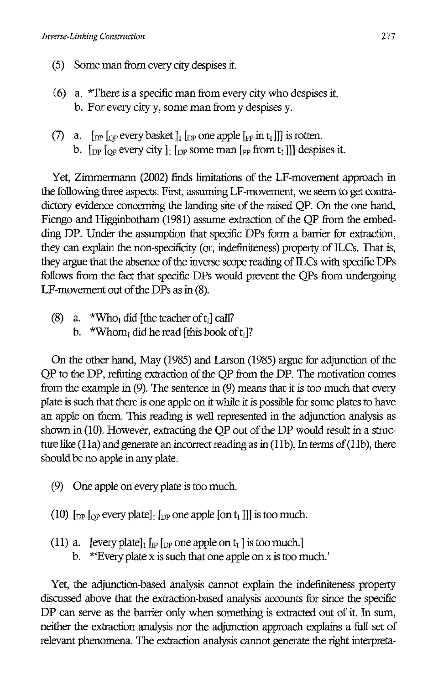- (5) Some man from every city despises it.
- (6) a. \*There is a specific man from every city who despises it. b. For every city y, some man from y despises y.
- (7) a. [op  $\log$  every basket]  $\log$  one apple  $\log$  in  $t_1$ ]] is rotten. b.  $\lceil \frac{D}{2} \rceil$  [ $\lceil \frac{D}{2} \rceil$  $\lceil \frac{D}{2} \rceil$  some man  $\lceil \frac{D}{2} \rceil$  from  $t_1$ ]] despises it.

Yet, Zimmermann (2002) finds limitations of the LF-movement approach in the following three aspects. First, assuming LF-movement, we seem to get contradictory evidence concerning the landing site of the raised QP. On the one hand, Fiengo and Higginbotham (1981) assume extraction of the QP from the embedding DP. Under the assumption that specific DPs form a barrier for extraction, they can explain the non-specificity (or, indefiniteness) property of ILCs. That is, they argue that the absence of the inverse scope reading of ILCs with specific DPs follows from the fact that specific DPs would prevent the QPs from undergoing LF-movement out of the DPs as in (8).

- (8) a. \*Who<sub>l</sub> did [the teacher of  $t_1$ ] call?
	- b. \*Whom, did he read [this book of  $t_1$ ]?

On the other hand, May (1985) and Larson (1985) argue for adjunction of the QP to the DP, refuting extraction of the QP from the DP. The motivation comes from the example in  $(9)$ . The sentence in  $(9)$  means that it is too much that every plate is such that there is one apple on it while it is possible for some plates to have an apple on them. This reading is well represented in the adjunction analysis as shown in (10). However, extracting the QP out of the DP would result in a structure like (11a) and generate an incorrect reading as in (11b). In terms of (11b), there should be no apple in any plate.

- (9) One apple on every plate is too much.
- (10)  $\lbrack_{\text{DP}}$  [<sub>OP</sub> every plate]<sub>1</sub>  $\lbrack_{\text{DP}}$  one apple [on t<sub>1</sub>]]] is too much.
- (11) a. [every plate]  $\ln \ln \ln \text{p}$  one apple on t<sub>1</sub>] is too much.] b. \*'Every plate x is such that one apple on x is too much.'

Yet, the adjunction-based analysis cannot explain the indefiniteness property discussed above that the extraction-based analysis accounts for since the specific DP can serve as the barrier only when something is extracted out of it. In sum, neither the extraction analysis nor the adjunction approach explains a full set of relevant phenomena. The extraction analysis cannot generate the right interpreta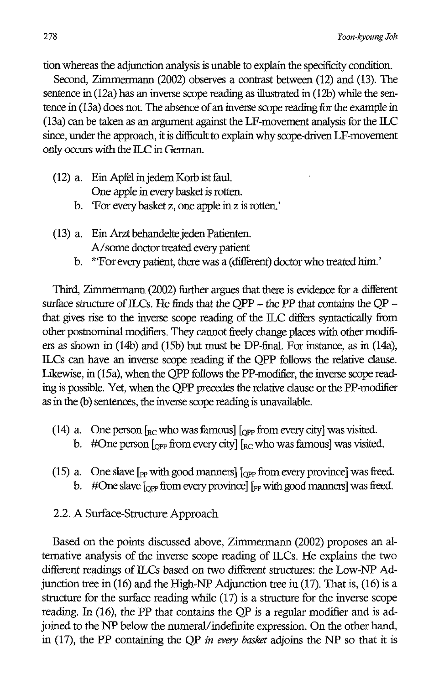tion whereas the adjunction analysis is unable to explain the specificity condition.

Second, Zimmermann (2002) observes a contrast between (12) and (13). The sentence in (12a) has an inverse scope reading as illustrated in (12b) while the sentence in (13a) does not. The absence of an inverse scope reading for the example in (13a) can be taken as an argument against the LF-movement analysis for the ILC since, under the approach, it is difficult to explain why scope-driven LF-movement only occurs with the ILC in German.

- (12) a. Ein Apfel injedem Kotb ist faul. One apple in every basket is rotten.
	- b. 'For every basket z, one apple in z is rotten.'
- (13) a. Ein Arzt behandelte jeden Patienten. A/some doctor treated every patient
	- b. \*'For every patient, there was a (different) doctor who treated him.'

Third, Zimmermann (2002) further argues that there is evidence for a different surface structure of ILCs. He finds that the OPP  $-$  the PP that contains the OP  $$ that gives rise to the inverse scope reading of the ILC differs syntactically from other postnominal modifiers. They cannot freely change places with other modifiers as shown in (14b) and (I5b) but must be DP-final. For instance, as in (14a), ILCs can have an inverse scope reading if the QPP follows the relative clause. Likewise, in (15a), when the QPP follows the PP-modifier, the inverse scope reading is possible. Yet, when the QPP precedes the relative clause or the PP-modifier as in the (b) sentences, the inverse scope reading is unavailable.

- (14) a. One person  $\int_{RC}$  who was famous]  $\int_{OPP}$  from every city] was visited. b. #One person  $_{[OPP}$  from every city]  $_{\rm RC}$  who was famous] was visited.
- (15) a. One slave  $\lceil_{PP}$  with good manners]  $\lceil_{OPP}$  from every province] was freed. b. #One slave  $\log$  from every province]  $\log$  with good manners] was freed.

### 2.2. A Surface-Structure Approach

Based on the points discussed above, Zimmermann (2002) proposes an alternative analysis of the inverse scope reading of ILCs. He explains the two different readings of ILCs based on two different structures: the Low-NP Adjunction tree in (16) and the High-NP Adjunction tree in (17). That is, (16) is a structure for the surface reading while (17) is a structure for the inverse scope reading. In (16), the PP that contains the QP is a regular modifier and is adjoined to the NP below the numeral/indefinite expression. On the other hand, in (17), the PP containing the QP *in every basket* adjoins the NP so that it is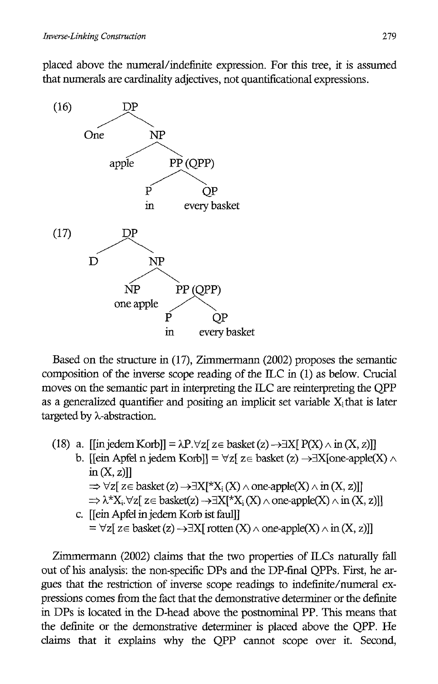placed above the numeral/indefinite expression. For this tree, it is assumed that numerals are cardinality adjectives, not quantificational expressions.



Based on the structure in (17), Zimmermann (2002) proposes the semantic composition of the inverse scope reading of the ILC in (1) as below. Crucial moves on the semantic part in interpreting the ILC are reinterpreting the QPP as a generalized quantifier and positing an implicit set variable  $X_i$  that is later targeted by A-abstraction.

- (18) a. [[in jedem Korb]] =  $\lambda P \cdot \forall z$ [ z = basket (z)  $\rightarrow \exists X$ [ P(X)  $\wedge$  in (X, z)]]
	- b. [[ein Apfel n jedem Korb]] =  $\forall z$ [ z \ basket (z)  $\rightarrow \exists X$ [one-apple(X)  $\land$  $in (X, z)]$  $\Rightarrow \forall z \in \text{basket}(z) \rightarrow \exists X[\forall X_i(X) \land \text{one-apple}(X) \land \text{in} (X, z)]$  $\Rightarrow \lambda^* X_i$ ,  $\forall z$ [  $z \in$  basket(z)  $\rightarrow \exists X$ [<sup>\*</sup> $X_i$  (X)  $\land$  one-apple(X)  $\land$  in (X, z)]]
	- c. **[**[ein Apfel in jedem Korb ist faul]]  $= \forall z \in \text{basket}(z) \rightarrow \exists X \in \text{rotten}(X) \land \text{one-apple}(X) \land \text{in} (X, z)]$

Zimmermann (2002) claims that the two properties of ILCs naturally fall out of his analysis: the non-specific DPs and the DP-final QPPs. First, he argues that the restriction of inverse scope readings to indefinite/numeral expressions comes from the fact that the demonstrative determiner or the definite in DPs is located in the D-head above the postnominal PP. This means that the definite or the demonstrative determiner is placed above the QPP. He claims that it explains why the QPP cannot scope over it. Second,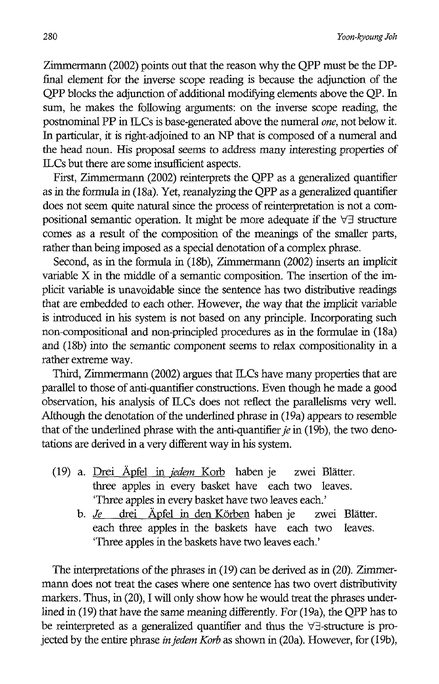Zimmermann (2002) points out that the reason why the QPP must be the DPfinal element for the inverse scope reading is because the adjunction of the QPP blocks the adjunction of additional modifying elements above the QP. In sum, he makes the following arguments: on the inverse scope reading, the postnominal pp in ILes is base-generated above the numeral *one,* not below it. In particular, it is right-adjoined to an NP that is composed of a numeral and the head noun. His proposal seems to address many interesting properties of ILCs but there are some insufficient aspects.

First, Zimmermann (2002) reinterprets the QPP as a generalized quantifier as in the formula in (18a). Yet, reanalyzing the QPP as a generalized quantifier does not seem quite natural since the process of reinterpretation is not a compositional semantic operation. It might be more adequate if the  $\forall \exists$  structure comes as a result of the composition of the meanings of the smaller parts, rather than being imposed as a special denotation of a complex phrase.

Second, as in the formula in (18b), Zimmermann (2002) inserts an implicit variable X in the middle of a semantic composition. The insertion of the implicit variable is unavoidable since the sentence has two distributive readings that are embedded to each other. However, the way that the implicit variable is introduced in his system is not based on any principle. Incorporating such non-compositional and non-principled procedures as in the formulae in (18a) and (18b) into the semantic component seems to relax compositionality in a rather extreme way.

Third, Zimmermann (2002) argues that ILCs have many properties that are parallel to those of anti-quantifier constructions. Even though he made a good observation, his analysis of ILCs does not reflect the parallelisms very well. Although the denotation of the underlined phrase in (19a) appears to resemble that of the underlined phrase with the anti-quantifier *je* in (19b), the two denotations are derived in a very different way in his system.

- (19) a. Drei Apfel in *iedem* Korb haben je zwei Blatter. three apples in every basket have each two leaves. 'Three apples in every basket have two leaves each.'
	- b. *Je* drei Apfel in den Korben haben je zwei Blatter. each three apples in the baskets have each two leaves. 'Three apples in the baskets have two leaves each.'

The interpretations of the phrases in (19) can be derived as in (20). Zimmermann does not treat the cases where one sentence has two overt distributivity markers. Thus, in (20), I will only show how he would treat the phrases underlined in (19) that have the same meaning differently. For (19a), the QPP has to be reinterpreted as a generalized quantifier and thus the  $\forall \exists$ -structure is projected by the entire phrase *injedem Korb* as shown in (20a). However, for (19b),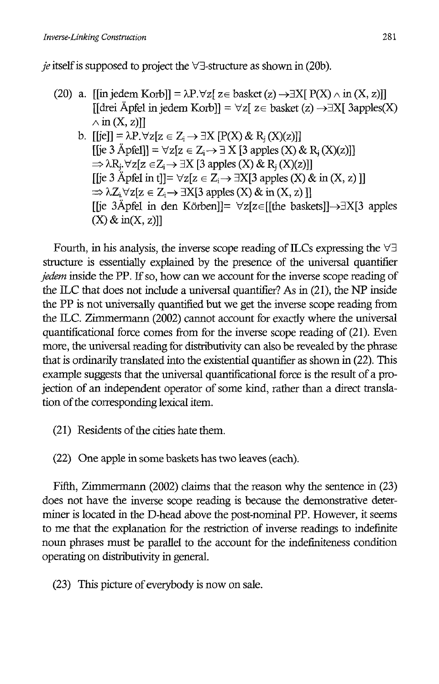*je* itself is supposed to project the  $\forall \exists$ -structure as shown in (20b).

- (20) a. [[in jedem Korb]] =  $\lambda P. \forall z$ [ z = basket (z)  $\rightarrow$   $\exists X$ [ P(X)  $\wedge$  in (X, z)]]  $\text{[Herei}\ \text{A} \text{pfel}\ \text{in}\ \text{jedem}\ \text{Korb}\text{]} = \forall z \text{z} \in \text{basket}\ (z) \rightarrow \exists X \text{[} \ \text{3} \text{apples}(X)$  $\wedge$  in  $(X, z)$ ]]
	- b.  $[[ie]] = \lambda P. \forall z [z \in Z_i \rightarrow \exists X [P(X) \& R_i(X)(z)]]$  $[[ie 3 \text{ Åpfell}]] = \forall z[z \in Z_i \rightarrow \exists X [3 \text{ apples } (X) \& R_i(X)(z)]]$  $\Rightarrow \lambda R_i \forall z [z \in Z_i \rightarrow \exists X [3 \text{ apples } (X) \& R_i (X)(z)]]$ [[je 3 Apfel in t]]=  $\forall z [z \in Z_i \rightarrow \exists X[3 \text{ apples } (X) \& \text{ in } (X, z)]$ ]  $\Rightarrow \lambda Z_i \forall z [z \in Z_i \rightarrow \exists X[3 \text{ apples } (X) \& \text{ in } (X, z)]$ [[je 3Åpfel in den Körben]]=  $\forall$ z[z∈[[the baskets]] $\rightarrow \exists X$ [3 apples  $(X)$  & in $(X, z)$ ]

Fourth, in his analysis, the inverse scope reading of ILCs expressing the  $\forall \exists$ structure is essentially explained by the presence of the universal quantifier *jedem* inside the PP. If so, how can we account for the inverse scope reading of the ILC that does not include a universal quantifier? As in (21), the NP inside the PP is not universally quantified but we get the inverse scope reading from the ILC. Zimmermann (2002) cannot account for exactly where the universal quantificational force comes from for the inverse scope reading of (21). Even more, the universal reading for distributivity can also be revealed by the phrase that is ordinarily translated into the existential quantifier as shown in (22). This example suggests that the universal quantificational force is the result of a projection of an independent operator of some kind, rather than a direct translation of the corresponding lexical item.

(21) Residents of the cities hate them.

(22) One apple in some baskets has two leaves (each).

Fifth, Zimmermann (2002) claims that the reason why the sentence in (23) does not have the inverse scope reading is because the demonstrative determiner is located in the D-head above the post-nominal PP. However, it seems to me that the explanation for the restriction of inverse readings to indefinite noun phrases must be parallel to the account for the indefiniteness condition operating on distributivity in general.

(23) This picture of everybody is now on sale.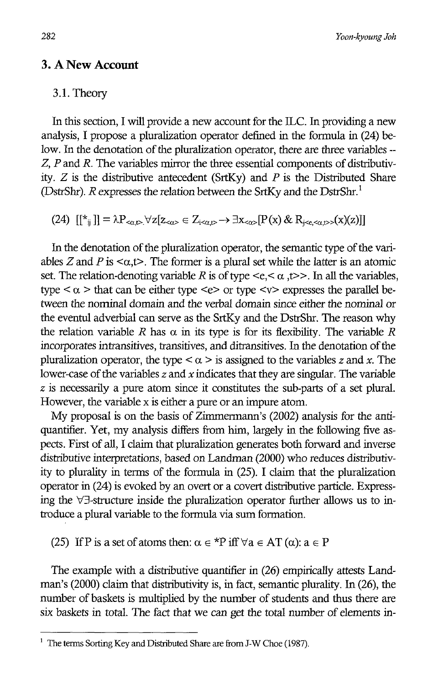282 *Yoon-kyoung Joh* 

# **3. A New Account**

#### 3.1. Theory

In this section, I will provide a new account for the ILC. In providing a new analysis, I propose a pluralization operator defined in the formula in (24) below. In the denotation of the pluralization operator, there are three variables -- *Z, P* and *R.* The variables mirror the three essential components of distributivity. *Z* is the distributive antecedent (SrtKy) and *P* is the Distributed Share (DstrShr).  $R$  expresses the relation between the SrtKy and the DstrShr.<sup>1</sup>

(24)  $[[\overline{x}_{ii}]] = \lambda P_{\langle \alpha, \beta \rangle} \forall z[z_{\alpha \beta} \in Z_{i \langle \alpha, \beta \rangle} \rightarrow \exists x_{\langle \alpha \rangle} [P(x) \& R_{i \langle \alpha, \beta \rangle}(x)]]$ 

In the denotation of the pluralization operator, the semantic type of the variables *Z* and *P* is  $\langle \alpha, t \rangle$ . The former is a plural set while the latter is an atomic set. The relation-denoting variable R is of type  $\leq e, \leq \alpha, t \geq$ . In all the variables, type  $\langle \alpha \rangle$  that can be either type  $\langle e \rangle$  or type  $\langle v \rangle$  expresses the parallel between the nominal domain and the verbal domain since either the nominal or the eventul adverbial can serve as the SrtKy and the DstrShr. The reason why the relation variable *R* has  $\alpha$  in its type is for its flexibility. The variable *R* incorporates intransitives, transitives, and ditransitives. In the denotation of the pluralization operator, the type  $\langle \alpha \rangle$  is assigned to the variables *z* and *x*. The lower-case of the variables *z* and *x* indicates that they are singular. The variable *z* is necessarily a pure atom since it constitutes the sub-parts of a set plural. However, the variable x is either a pure or an impure atom.

My proposal is on the basis of Zimmermann's (2002) analysis for the antiquantifier. Yet, my analysis differs from him, largely in the following five aspects. First of all, I claim that pluralization generates both forward and inverse distributive interpretations, based on Landman (2000) who reduces distributivity to plurality in terms of the formula in (25). I claim that the pluralization operator in (24) is evoked by an overt or a covert distributive particle. Expressing the  $\forall \exists$ -structure inside the pluralization operator further allows us to introduce a plural variable to the formula via sum formation.

(25) If P is a set of atoms then:  $\alpha \in {}^{\star}P$  iff  $\forall a \in AT (\alpha)$ :  $a \in P$ 

The example with a distributive quantifier in (26) empirically attests Landman's (2000) claim that distributivity is, in fact, semantic plurality. In (26), the number of baskets is multiplied by the number of students and thus there are six baskets in total. The fact that we can get the total number of elements in-

<sup>&</sup>lt;sup>1</sup> The terms Sorting Key and Distributed Share are from J-W Choe (1987).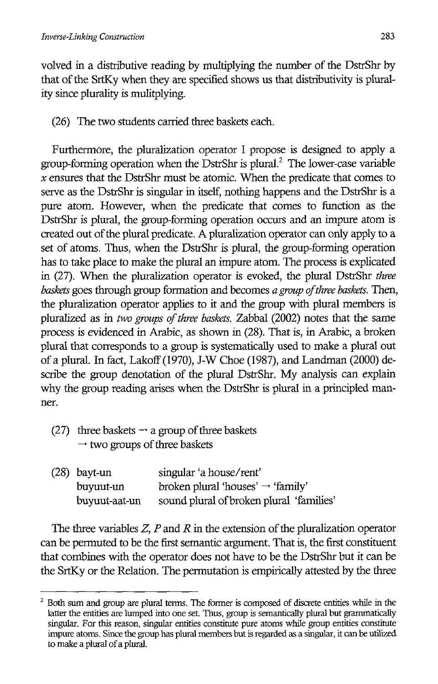volved in a distributive reading by multiplying the number of the DstrShr by that of the SrtKy when they are specified shows us that distributivity is plurality since plurality is mulitplying.

(26) The two students carried three baskets each.

Furthermore, the pluralization operator I propose is designed to apply a group-forming operation when the DstrShr is plural.<sup>2</sup> The lower-case variable *x* ensures that the DstrShr must be atomic. When the predicate that comes to serve as the DstrShr is singular in itself, nothing happens and the DstrShr is a pure atom. However, when the predicate that comes to function as the DstrShr is plural, the group-forming operation occurs and an impure atom is created out of the plural predicate. A pluralization operator can only apply to a set of atoms. Thus, when the DstrShr is plural, the group-forming operation has to take place to make the plural an impure atom. The process is explicated in (27). When the pluralization operator is evoked, the plural DstrShr *three baskets* goes through group formation and becomes *a group of three baskets.* Then, the pluralization operator applies to it and the group with plural members is pluralized as in *two groups of three baskets.* Zabbal (2002) notes that the same process is evidenced in Arabic, as shown in (28). That is, in Arabic, a broken plural that corresponds to a group is systematically used to make a plural out of a plural. In fact, Lakoff (1970), J-W Choe (1987), and Landman (2000) describe the group denotation of the plural DstrShr. My analysis can explain why the group reading arises when the DstrShr is plural in a principled manner.

(27) three baskets  $\rightarrow$  a group of three baskets  $\rightarrow$  two groups of three baskets

| $(28)$ bayt-un | singular 'a house/rent'                       |
|----------------|-----------------------------------------------|
| buyuut-un      | broken plural 'houses' $\rightarrow$ 'family' |
| buyuut-aat-un  | sound plural of broken plural 'families'      |

The three variables *Z, P* and *R* in the extension of the pluralization operator can be permuted to be the first semantic argument. That is, the first constituent that combines with the operator does not have to be the DstrShr but it can be the SrtKy or the Relation. The permutation is empirically attested by the three

 $2$  Both sum and group are plural terms. The former is composed of discrete entities while in the latter the entities are lumped into one set. Thus, group is semantically plural but grammatically singular. For this reason, singular entities constitute pure atoms while group entities constitute impure atoms. Since the group has plural members but is regarded as a singular, it can be utilized to make a plural of a plural.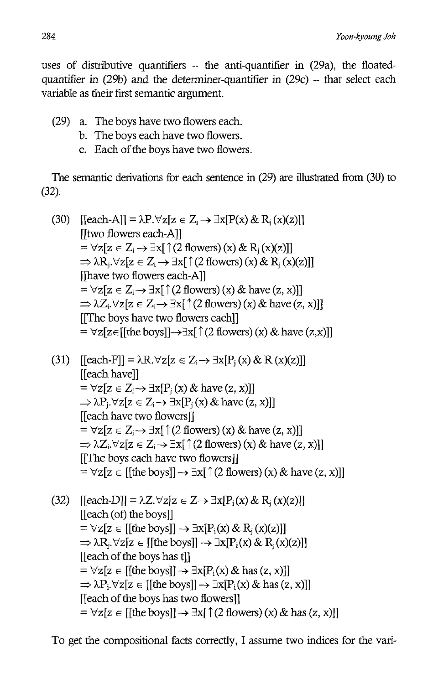uses of distributive quantifiers -- the anti-quantifier in (29a), the floatedquantifier in  $(29b)$  and the determiner-quantifier in  $(29c)$  -- that select each variable as their first semantic argument.

- (29) a. The boys have two flowers each.
	- b. The boys each have two flowers.
	- c. Each of the boys have two flowers.

The semantic derivations for each sentence in (29) are illustrated from (30) to (32).

(30) [[each-A]] = 
$$
\lambda P.\forall z[z \in Z_i \rightarrow \exists x[P(x) \& R_j(x)(z)]]
$$
  
\n[[two flowers each-A]]  
\n=  $\forall z[z \in Z_i \rightarrow \exists x[\uparrow(2 \text{ flowers}) (x) \& R_j(x)(z)]]$   
\n $\Rightarrow \lambda R_j.\forall z[z \in Z_i \rightarrow \exists x[\uparrow(2 \text{ flowers}) (x) \& R_j(x)(z)]]$   
\n[[have two flowers each-A]]  
\n=  $\forall z[z \in Z_i \rightarrow \exists x[\uparrow(2 \text{ flowers}) (x) \& \text{ have } (z, x)]]$   
\n $\Rightarrow \lambda Z_i.\forall z[z \in Z_i \rightarrow \exists x[\uparrow(2 \text{ flowers}) (x) \& \text{ have } (z, x)]]$   
\n[[The boys have two flowers each]]  
\n=  $\forall z[z \in [[the boys]] \rightarrow \exists x[\uparrow(2 \text{ flowers}) (x) \& \text{ have } (z, x)]]$ 

- (31)  $\left[ \text{Each-F} \right] = \lambda \text{R}. \forall z[z \in Z_i \rightarrow \exists x[P_i(x) \& R(x)(z)] \right]$ [[each have]]  $= \forall z[z \in Z_i \rightarrow \exists x[P_i(x) \& \text{ have } (z, x)]]$  $\Rightarrow \lambda P_i \forall z [z \in Z_i \rightarrow \exists x [P_i(x) \& \text{ have } (z, x)]]$ [[each have two flowers]]  $= \forall z [z \in Z_i \rightarrow \exists x [ \uparrow (2 \text{ flowers}) (x) \& \text{have } (z, x)]]$  $\Rightarrow \lambda Z_i. \forall z[z \in Z_i \rightarrow \exists x[\uparrow(2 \text{ flowers}) (x) \& \text{have } (z, x)]]$ [[The boys each have two flowers]]  $= \forall z [z \in [[\text{the boys}]] \rightarrow \exists x [ \uparrow (2 \text{ flowers}) (x) \& \text{have} (z, x)]]$
- (32)  $\left[ \text{[each-D]} \right] = \lambda Z. \forall z [z \in Z \rightarrow \exists x [P_i(x) \& R_i(x)(z)] \}$ [[each (of) the boys]]  $= \forall z[z \in [[\text{the boys}]] \rightarrow \exists x[P_i(x) \& R_i(x)(z)]]$  $\Rightarrow \lambda R_i. \forall z[z \in [[\text{the boys}]] \rightarrow \exists x[P_i(x) \& R_i(x)(z)]]$ [[each of the boys has t]]  $= \forall z [z \in [[$ the boys]]  $\rightarrow \exists x [P_i(x) \&$  has  $(z, x)]$ ]  $\Rightarrow \lambda P_i. \forall z[z \in [[\text{the boys}]] \rightarrow \exists x[P_i(x) \& \text{has} (z, x)]]$ [[each of the boys has two flowers]]  $= \forall z [z \in [[\text{the boys}]] \rightarrow \exists x [ (2 \text{ flowers}) (x) \& \text{has} (z, x)]]$

To get the compositional facts correctly, I assume two indices for the vari-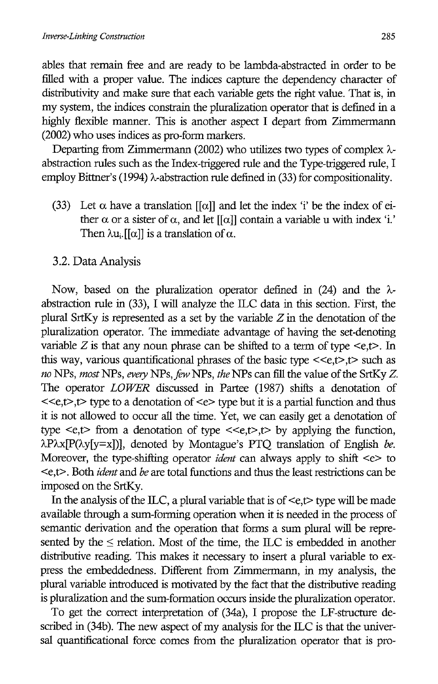abIes that remain free and are ready to be lambda-abstracted in order to be filled with a proper value. The indices capture the dependency character of distributivity and make sure that each variable gets the right value. That is, in my system, the indices constrain the pluralization operator that is defined in a highly flexible manner. This is another aspect I depart from Zimmermann (2002) who uses indices as pro-form markers.

Departing from Zimmermann (2002) who utilizes two types of complex  $\lambda$ abstraction rules such as the Index-triggered rule and the Type-triggered rule, I employ Bittner's (1994)  $\lambda$ -abstraction rule defined in (33) for compositionality.

- (33) Let  $\alpha$  have a translation [[ $\alpha$ ]] and let the index 'i' be the index of either  $\alpha$  or a sister of  $\alpha$ , and let [[ $\alpha$ ]] contain a variable u with index 'i.' Then  $\lambda u_i$ . [[ $\alpha$ ]] is a translation of  $\alpha$ .
- 3.2. Data Analysis

Now, based on the pluralization operator defined in (24) and the  $\lambda$ abstraction rule in (33), I will analyze the ILC data in this section. First, the plural SrtKy is represented as a set by the variable  $Z$  in the denotation of the pluralization operator. The immediate advantage of having the set-denoting variable  $Z$  is that any noun phrase can be shifted to a term of type  $\leq e, t$ . In this way, various quantificational phrases of the basic type  $\langle\langle e,t\rangle, t\rangle$  such as *no* NPs, *most* NPs, *every* NPs, *few* NPs, *the* NPs can fill the value of the SrtKy Z. The operator *LOWER* discussed in Partee (1987) shifts a denotation of  $< type to a denotation of  $< type but it is a partial function and thus$$ it is not allowed to occur all the time. Yet, we can easily get a denotation of type  $\leq e, t$  from a denotation of type  $\leq \leq e, t$ , t by applying the function,  $\lambda P\lambda x[P(\lambda y|y=x])$ ], denoted by Montague's PTQ translation of English *be*. Moreover, the type-shifting operator *ident* can always apply to shift  $\leq e$  to <e, t>. Both *ident* and *be* are total functions and thus the least restrictions can be imposed on the SrtKy.

In the analysis of the ILC, a plural variable that is of  $\leq e, t$  type will be made available through a sum-forming operation when it is needed in the process of semantic derivation and the operation that forms a sum plural will be represented by the  $\leq$  relation. Most of the time, the ILC is embedded in another distributive reading. This makes it necessary to insert a plural variable to express the embeddedness. Different from Zimmermann, in my analysis, the plural variable introduced is motivated by the fact that the distributive reading is pluralization and the sum-formation occurs inside the pluralization operator.

To get the correct interpretation of (34a), I propose the LF-structure described in  $(34b)$ . The new aspect of my analysis for the ILC is that the universal quantificational force comes from the pluralization operator that is pro-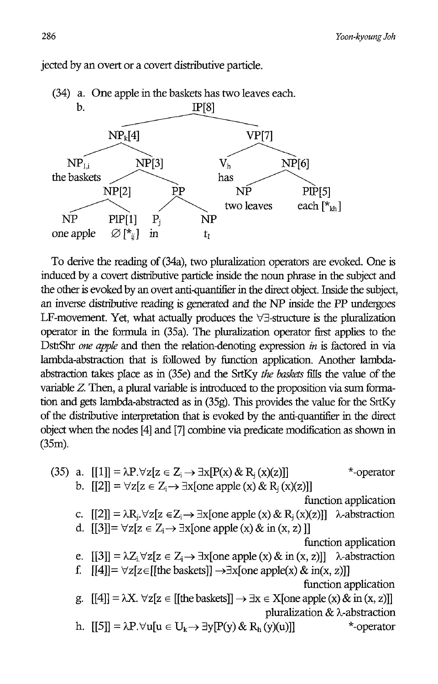

jected by an overt or a covert distributive particle.

To derive the reading of (34a), two pluralization operators are evoked. One is induced by a covert distributive particle inside the noun phrase in the subject and the other is evoked by an overt anti-quantifier in the direct object. Inside the subject, an inverse distributive reading is generated and the NP inside the pp undergoes LF-movement. Yet, what actually produces the  $\forall\exists$ -structure is the pluralization operator in the formula in (35a). The pluralization operator first applies to the DstrShr *one apple* and then the relation-denoting expression *in* is factored in via lambda-abstraction that is followed by function application. Another lambdaabstraction takes place as in (3Se) and the SrtKy *the baskets* fills the value of the variable Z. Then, a plural variable is introduced to the proposition via sum formation and gets lambda-abstracted as in (35g). This provides the value for the SrtKy of the distributive interpretation that is evoked by the anti-quantifier in the direct object when the nodes [4] and [7] combine via predicate modification as shown in (3Sm).

(35) a.  $[[1]] = \lambda P. \forall z[z \in Z_i \rightarrow \exists x[P(x) \& R_i(x)(z)]]$  \*-operator b.  $[[2]] = \forall z[z \in Z_i \rightarrow \exists x[one apple(x) \& R_i(x)(z)]]$ function application c.  $[[2]] = \lambda R_i \forall z[z \in Z_i \rightarrow \exists x[one apple(x) \& R_i(x)(z)]]$   $\lambda$ -abstraction d.  $[3] = \forall z[z \in Z_i \rightarrow \exists x[one apple(x) \& in(x, z)]]$ function application e.  $[3] = \lambda Z_i \forall z[z \in Z_i \rightarrow \exists x[one apple(x) \& in (x, z)]]$   $\lambda$ -abstraction f.  $[[4]] = \forall z[z \in [[the baskets]] \rightarrow \exists x[one apple(x) \& in(x, z)]]$ function application g.  $[[4]] = \lambda X$ .  $\forall z[z \in [[the\, ]] \rightarrow \exists x \in X[one \, apple(x) \& \, in (x, z)]]$ pluralization & A-abstraction h.  $[5] = \lambda P \cdot \forall u[u \in U_k \rightarrow \exists y[P(y) \& R_h(y)(u)]]$  \*-operator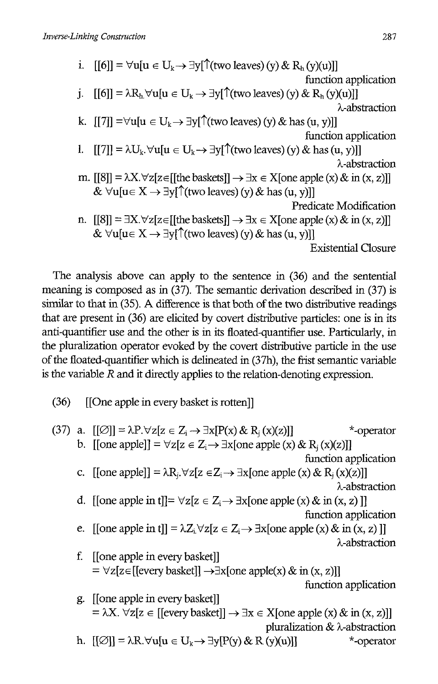i.  $[6] = \forall u[u \in U_k \rightarrow \exists y[\uparrow (two \text{ leaves}) (y) \& R_h(y)(u)]]$ function application j.  $[|6|] = \lambda R_h \forall u[u \in U_k \rightarrow \exists y[\uparrow(two\ leaves)(y) \& R_h(y)(u)]]$ A-abstraction k.  $[[7]] = \forall u[u \in U_k \rightarrow \exists y[\uparrow(xw \in \mathit{leaves})(y) \&\text{ has } (u, y)]]$ function application 1.  $[[7]] = \lambda U_k$ .  $\forall u[u \in U_k \rightarrow \exists y[\uparrow(x\omega \text{ leaves})(y) \& \text{ has } (u, y)]$ A-abstraction m.  $[[8]] = \lambda X. \forall z[z \in [[\text{the baskets}]] \rightarrow \exists x \in X[\text{one apple}(x) \& \text{ in } (x, z)]]$ &  $\forall u[u \in X \rightarrow \exists v] \uparrow$  (two leaves) (y) & has (u, y)]] Predicate Modification n.  $[[8]] = \exists X. \forall z[z \in [[\text{the baskets}]] \rightarrow \exists x \in X[\text{one apple}(x) \& \text{ in } (x, z)]]$ &  $\forall u[u \in X \rightarrow \exists y[\uparrow (two \ leaves) (y) \& \text{ has } (u, y)]]$ Existential Closure

The analysis above can apply to the sentence in (36) and the sentential meaning is composed as in (37). The semantic derivation described in (37) is similar to that in (35). A difference is that both of the two distributive readings that are present in (36) are elicited by covert distributive particles: one is in its anti-quantifier use and the other is in its floated-quantifier use. Particularly, in the pluralization operator evoked by the covert distributive particle in the use of the floated-quantifier which is delineated in (37h), the frist semantic variable is the variable R and it directly applies to the relation-denoting expression.

- (36) [[One apple in every basket is rotten]]
- (37) a.  $[|\emptyset|] = \lambda P \forall z [z \in Z_i \rightarrow \exists x [P(x) \& R_i(x)(z)]]$  \*-operator b.  $\text{[[one apple]]} = \forall z[z \in Z_i \rightarrow \exists x[\text{one apple}(x) \& R_i(x)(z)]]$ function application c. [[one apple]] =  $\lambda R_i$ . $\forall z[z \in Z_i \rightarrow \exists x[$ one apple (x) &  $R_i(x)(z)]$ ] A-abstraction d. [[one apple in t]]=  $\forall z[z \in Z_i \rightarrow \exists x[one \text{ apple}(x) \& \text{ in } (x, z)]$ ] function application e. [[one apple in t]] =  $\lambda Z_i \forall z[z \in Z_i \rightarrow \exists x[one apple(x) \& in(x, z)]]$ A-abstraction f. [[one apple in every basket]]  $= \forall z[z \in [[every\, basket]] \rightarrow \exists x[one\, apple(x) \& in (x, z)]]$ function application g. [[one apple in every basket]]  $= \lambda X$ .  $\forall z[z \in [[every\,backslash z]] \rightarrow \exists x \in X[one\, apple(x) \& in (x, z)]]$

pluralization  $& \lambda$ -abstraction h.  $[{\emptyset}] = \lambda R. \forall u[u \in U_k \rightarrow \exists y[P(y) \& R(y)(u)]]$  \*-operator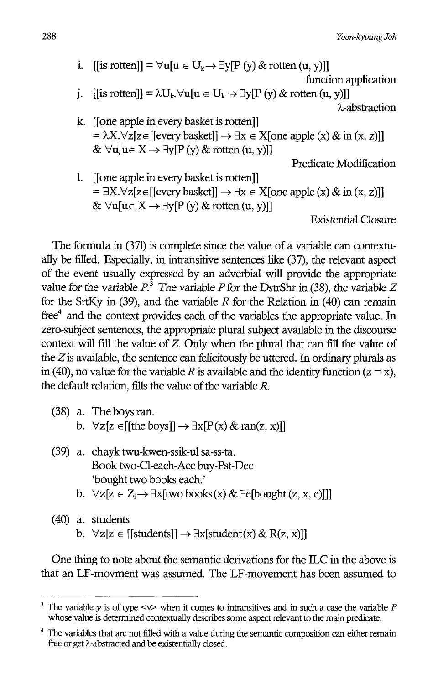i. [[is rotten]] =  $\forall u[u \in U_k \rightarrow \exists y[P(y) \& \text{ rotten } (u, y)]]$ 

function application

- i. [[is rotten]] =  $\lambda U_k$ .  $\forall u[u \in U_k \rightarrow \exists v[P(v) \& \text{ rotation } (u, v)]$ ] A-abstraction
- k. [[one apple in every basket is rotten]]  $= \lambda X. \forall z[z \in [[every basket]] \rightarrow \exists x \in X[one apple(x) & in (x, z)]]$ &  $\forall$ u[u $\in$  X  $\rightarrow$   $\exists$ v[P (y) & rotten (u, y)]]

Predicate Modification

1. [[one apple in every basket is rotten]]  $= \exists X. \forall z[z \in [[every basket]] \rightarrow \exists x \in X[one apple(x) \& in (x, z)]]$ &  $\forall u[u \in X \rightarrow \exists y[P(y) \& \text{rotten } (u, y)]$ ]

Existential Closure

The fonnula in (371) is complete since the value of a variable can contextually be filled. Especially, in intransitive sentences like (37), the relevant aspect of the event usually expressed by an adverbial will provide the appropriate value for the variable  $P$ .<sup>3</sup> The variable  $P$  for the DstrShr in (38), the variable  $Z$ for the SrtKy in (39), and the variable *R* for the Relation in (40) can remain free<sup>4</sup> and the context provides each of the variables the appropriate value. In zero-subject sentences, the appropriate plural subject available in the discourse context will fill the value of *Z.* Only when the plural that can fill the value of the *Z* is available, the sentence can felicitously be uttered. In ordinary plurals as in (40), no value for the variable R is available and the identity function ( $z = x$ ). the default relation, fills the value of the variable *R.* 

- (38) a. The boys ran. b.  $\forall z[z \in [[\text{the boys}]] \rightarrow \exists x[P(x) \& \text{ran}(z, x)]]$
- (39) a. chayk twu-kwen-ssik-ul sa-ss-ta. Book two-Cl-each-Acc buy-Pst-Dec 'bought two books each.'
	- b.  $\forall z[z \in Z_i \rightarrow \exists x[two \ books(x) \& \exists e[bought (z, x, e)]]]$
- (40) a. students b.  $\forall z[z \in [[students]] \rightarrow \exists x[student(x) \& R(z, x)]]$

One thing to note about the semantic derivations for the ILC in the above is that an LF-movment was assumed. The LF-movement has been assumed to

<sup>&</sup>lt;sup>3</sup> The variable  $\nu$  is of type <v> when it comes to intransitives and in such a case the variable  $P$ whose value is determined contextually describes some aspect relevant to the main predicate.

<sup>4</sup> The variables that are not filled with a value during the semantic composition can either remain free or get A-abstracted and be existentially closed.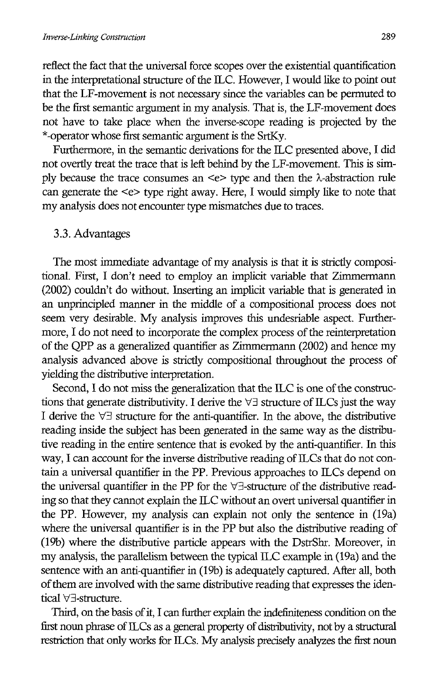reflect the fact that the universal force scopes over the existential quantification in the interpretational structure of the ILC. However, I would like to point out that the LF-movement is not necessary since the variables can be permuted to be the first semantic argument in my analysis. That is, the LF-movement does not have to take place when the inverse-scope reading is projected by the \*-operatorwhose first semantic argument is the SrtKy.

Furthermore, in the semantic derivations for the ILC presented above, I did not overtly treat the trace that is left behind by the LF-movement. This is simply because the trace consumes an  $\leq e$  type and then the  $\lambda$ -abstraction rule can generate the <e> type right away. Here, I would simply like to note that my analysis does not encounter type mismatches due to traces.

#### 3.3. Advantages

The most immediate advantage of my analysis is that it is strictly compositional. First, I don't need to employ an implicit variable that Zimmermann (2002) couldn't do without. Inserting an implicit variable that is generated in an unprincipled manner in the middle of a compositional process does not seem very desirable. My analysis improves this undesriable aspect. Furthermore, I do not need to incorporate the complex process of the reinterpretation of the QPP as a generalized quantifier as Zimmermann (2002) and hence my analysis advanced above is strictly compositional throughout the process of yielding the distributive interpretation.

Second, I do not miss the generalization that the ILC is one of the constructions that generate distributivity. I derive the  $\forall \exists$  structure of ILCs just the way I derive the  $\forall \exists$  structure for the anti-quantifier. In the above, the distributive reading inside the subject has been generated in the same way as the distributive reading in the entire sentence that is evoked by the anti-quantifier. In this way, I can account for the inverse distributive reading of ILCs that do not contain a universal quantifier in the PP. Previous approaches to ILCs depend on the universal quantifier in the PP for the  $\forall \exists$ -structure of the distributive reading so that they cannot explain the ILC without an overt universal quantifier in the PP. However, my analysis can explain not only the sentence in (l9a) where the universal quantifier is in the PP but also the distributive reading of (19b) where the distributive particle appears with the DstrShr. Moreover, in my analysis, the parallelism between the typical ILC example in (19a) and the sentence with an anti-quantifier in (19b) is adequately captured. After all, both of them are involved with the same distributive reading that expresses the identical  $\forall \exists$ -structure.

Third, on the basis of it, I can further explain the indefiniteness condition on the first noun phrase of  $ILCs$  as a general property of distributivity, not by a structural restriction that only works for ILCs. My analysis precisely analyzes the first noun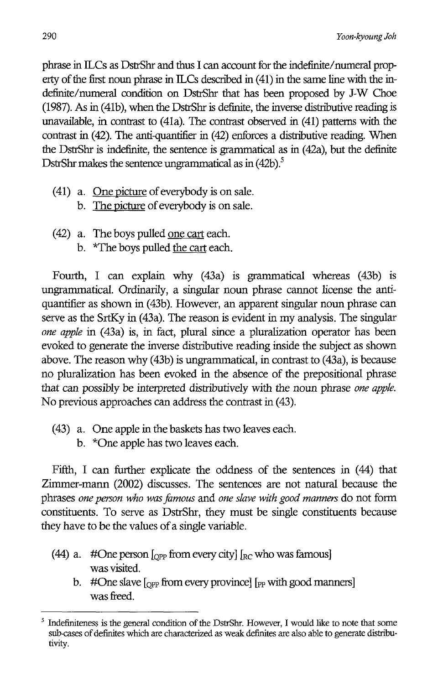phrase in ILCs as DstrShr and thus I can account for the indefinite/numeral property of the first noun phrase in  $ILCs$  described in  $(41)$  in the same line with the indefinite/numeral condition on DstrShr that has been proposed by J-W Choe (1987). As in (41b), when the DstrShr is definite, the inverse distributive reading is unavailable, in contrast to (41a). The contrast observed in (41) patterns with the contrast in (42). The anti-quantifier in (42) enforces a distributive reading. When the DstrShr is indefinite, the sentence is grammatical as in (42a), but the definite DstrShr makes the sentence ungrammatical as in  $(42b)$ .<sup>5</sup>

- (41) a. One picture of everybody is on sale.
	- b. The picture of everybody is on sale.
- (42) a. The boys pulled one cart each.
	- b. \*The boys pulled the cart each.

Fourth, I can explain why (43a) is grammatical whereas (43b) is ungrammatical. Ordinarily, a singular noun phrase cannot license the antiquantifier as shown in (43b). However, an apparent singular noun phrase can serve as the SrtKy in (43a). The reason is evident in my analysis. The singular *one apple* in (43a) is, in fact, plural since a pluralization operator has been evoked to generate the inverse distributive reading inside the subject as shown above. The reason why (43b) is ungrammatical, in contrast to (43a), is because no pluralization has been evoked in the absence of the prepositional phrase that can possibly be interpreted distributively with the noun phrase *one apple.*  No previous approaches can address the contrast in (43).

- (43) a. One apple in the baskets has two leaves each.
	- b. \*One apple has two leaves each.

Fifth, I can further explicate the oddness of the sentences in (44) that Zimmer-mann (2002) discusses. The sentences are not natural because the phrases *one person who was fomous* and *one slave with good manners* do not form constituents. To serve as DstrShr, they must be single constituents because they have to be the values of a single variable.

- (44) a. #One person  $\int_{OPP}$  from every city]  $\int_{BC}$  who was famous] was visited.
	- b. #One slave  $\lceil_{\text{OPP}}$  from every province]  $\lceil_{\text{PP}}$  with good manners] was freed.

<sup>5</sup> Indefiniteness is the *general* condition of the DstrShr. However, I would like to note that some sub-cases of definites which are characterized as weak definites are also able to generate distributivity.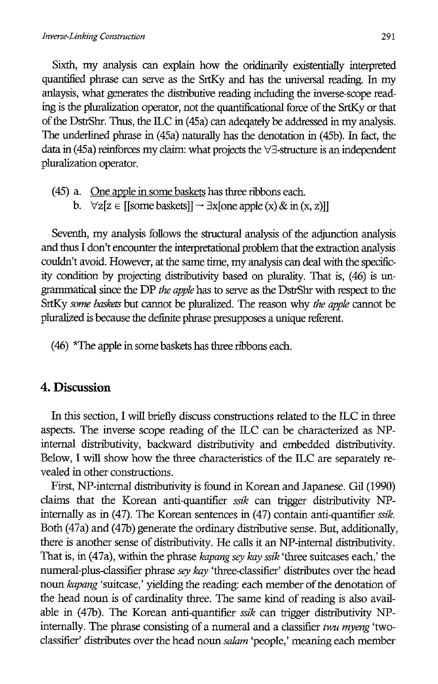Sixth, my analysis can explain how the oridinarily existentially interpreted quantified phrase can serve as the SrtKy and has the universal reading. In my anlaysis, what generates the distributive reading including the inverse-scope reading is the pluralization operator, not the quantificational force of the SrtKy or that of the DstrShr. Thus, the ILC in (45a) can adeqately be addressed in my analysis. The underlined phrase in (45a) naturally has the denotation in (45b). In fact, the data in (45a) reinforces my claim: what projects the  $\forall \exists$ -structure is an independent pluralization operator.

(45) a. One apple in some baskets has three ribbons each. b.  $\forall z[z \in [[some basketball \rightarrow \exists x[one apple(x) \& in (x, z)]]$ 

Seventh, my analysis follows the structural analysis of the adjunction analysis and thus I don't encounter the interpretational problem that the extraction analysis couldn't avoid. However, at the same time, my analysis can deal with the specificity condition by projecting distributivity based on plurality. That is, (46) is ungrammatical since the DP *the apple* has to serve as the DstrShr with respect to the SrtKy *some baskets* but cannot be pluralized. The reason why *the apple* cannot be pluralized is because the definite phrase presupposes a unique referent.

(46) \*The apple in some baskets has three ribbons each.

#### **4. Discussion**

In this section, I will briefly discuss constructions related to the ILC in three aspects. The inverse scope reading of the ILC can be characterized as NPinternal distributivity, backward distributivity and embedded distributivity. Below, I will show how the three characteristics of the ILC are separately revealed in other constructions.

First, NP-internal distributivity is found in Korean and Japanese. Gil (1990) claims that the Korean anti-quantifier *ssik* can trigger distributivity NPinternally as in (47). The Korean sentences in (47) contain anti-quantifier *ssik.*  Both (47a) and (47b) generate the ordinary distributive sense. But, additionally, there is another sense of distributivity. He calls it an NP-internal distributivity. That is, in (47a), within the phrase *kapang sey kay ssik* 'three suitcases each,' the numeral-plus-classifier phrase sey kay 'three-classifier' distributes over the head noun *kapang* 'suitcase,' yielding the reading: each member of the denotation of the head noun is of cardinality three. The same kind of reading is also available in (47b). The Korean anti-quantifier *ssik* can trigger distributivity NPinternally. The phrase consisting of a numeral and a classifier *twu myeng'two*classifier' distributes over the head noun *salam* 'people,' meaning each member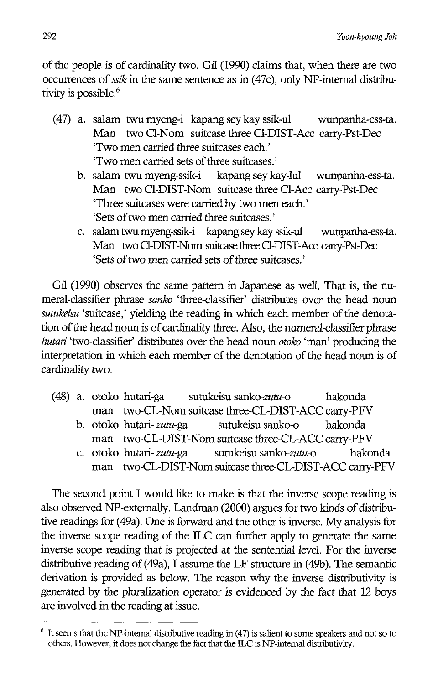of the people is of cardinality two. Gil (1990) claims that, when there are two occurrences of *ssik* in the same sentence as in (47c), only NP-internal distributivity is possible.<sup>6</sup>

- (47) a. salam twu myeng-i kapang seykay ssik-ul wunpanha-ess-ta. Man two Cl-Nom suitcase three Cl-DIST-Acc carry-Pst-Dec 'Two men carried three suitcases each.' 'Two men carried sets of three suitcases.'
	- b. salam twu myeng-ssik-i kapang sey kay-lul wunpanha-ess-ta. Man two Cl-DIST-Nom suitcase three Cl-Acc carry-Pst-Dec 'Tbree suitcases were carried by two men each.' 'Sets of two men carried three suitcases.'
	- c. salam twu myeng-ssik-i kapang sey kay ssik-ul wunpanha-ess-ta. Man two O-DIST-Nom suitcase three O-DIST-Acc cany-Pst-Dec 'Sets of two men carried sets of three suitcases.'

Gil (1990) observes the same pattern in Japanese as well. That is, the numeral-classifier phrase *sanko* 'three-classifier' distributes over the head noun *sutukeisu* 'suitcase,' yielding the reading in which each member of the denotation of the head noun is of cardinality three. Also, the numeral-classifier phrase *hutari* 'two-classifier' distributes over the head noun *otoko* 'man' producing the interpretation in which each member of the denotation of the head noun is of cardinality two.

- (48) a. otoko hutari-ga sutukeisu *sanko-zutu-o* hakonda man two-CL-Nom suitcase three-CL-DIST-ACC carry-PFV
	- b. otoko hutari- *zutu-ga* sutukeisu sanko-o hakonda man two-CL-DIST-Nom suitcase three-CL-ACC carry-PFV
	- c. otoko hutari- *zutu-ga* sutukeisu *sanko-zutu-o* hakonda man two-CL-DIST-Nom suitcase three-CL-DIST-ACC carry-PFV

The second point I would like to make is that the inverse scope reading is also observed NP-externally. Landman (2000) argues for two kinds of distributive readings for (49a). One is forward and the other is inverse. My analysis for the inverse scope reading of the ILC can further apply to generate the same inverse scope reading that is projected at the sentential level. For the inverse distributive reading of (49a), I assume the LF-structure in (49b). The semantic derivation is provided as below. The reason why the inverse distributivity is generated by the pluralization operator is evidenced by the fact that 12 boys are involved in the reading at issue.

 $6$  It seems that the NP-internal distributive reading in (47) is salient to some speakers and not so to others. However, it does not change the fact that the ILC is NP-internal distributivity.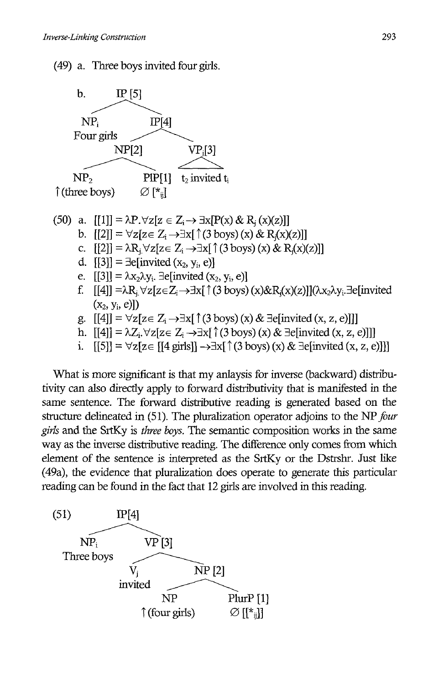

i.  $[5] = \forall z [z \in [[4 \text{ girls}]] \rightarrow \exists x [ (3 \text{ boys}) (x) \& \exists \text{elimvited} (x, z, e)]]]$ 

What is more significant is that my anlaysis for inverse (backward) distributivity can also directly apply to forward distributivity that is manifested in the same sentence. The forward distributive reading is generated based on the structure delineated in (51). The pluralization operator adjoins to the NP *four girls* and the SrtKy is *three boys.* The semantic composition works in the same way as the inverse distributive reading. The difference only comes from which element of the sentence is interpreted as the SrtKy or the Dstrsbr. Just like (49a), the evidence that pluralization does operate to generate this particular

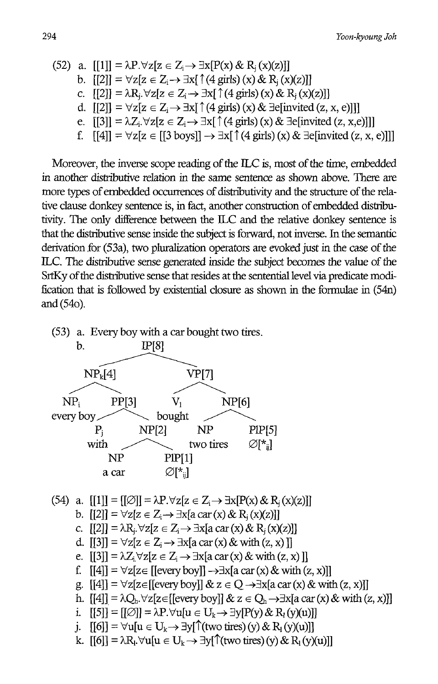(52) a. 
$$
[[1]] = \lambda P \cdot \forall z [z \in Z_i \rightarrow \exists x [P(x) \& R_j(x)(z)]]
$$
\nb.  $[[2]] = \forall z [z \in Z_i \rightarrow \exists x [ \uparrow (4 \text{ girls}) (x) \& R_j(x)(z)]]$ \nc.  $[[2]] = \lambda R_j \cdot \forall z [z \in Z_i \rightarrow \exists x [ \uparrow (4 \text{ girls}) (x) \& R_j(x)(z)]]$ \nd.  $[[2]] = \forall z [z \in Z_i \rightarrow \exists x [ \uparrow (4 \text{ girls}) (x) \& \exists e [invited (z, x, e)]]]$ \ne.  $[[3]] = \lambda Z_i \cdot \forall z [z \in Z_i \rightarrow \exists x [ \uparrow (4 \text{ girls}) (x) \& \exists e [invited (z, x, e)]]]$ 

f.  $[14] = \forall z[z \in [[3 boys]] \rightarrow \exists x[\uparrow (4 girls) (x) \& \exists$ e[invited (z, x, e)]]]

Moreover, the inverse scope reading of the ILC is, most of the time, embedded in another distributive relation in the same sentence as shown above. There are more types of embedded occurrences of distributivity and the structure of the relative clause donkey sentence is, in fact, another construction of embedded distributivity. The only difference between the ILC and the relative donkey sentence is that the distnbutive sense inside the subject is forward, not inverse. In the semantic derivation for (53a), two pluralization operators are evoked just in the case of the ILe. The distributive sense generated inside the subject becomes the value of the SrtKy of the distributive sense that resides at the sentential level via predicate modification that is followed by existential closure as shown in the formulae in (54n) and (540).

- (53) a. Every boy with a car bought two tires. b.  $\frac{P[8]}{P[7]}$ IP[8]  $NP_k[4]$   $VPI7]$ NPi  $\frac{\text{NP}_k[4]}{\text{PP}_k[4]}$  $PPI3$  V<sub>1</sub>  $\overline{VP[7]}$ <br>V<sub>1</sub> NP[6] NP[6] every boy  $P_i$  NP[2] bought NP  $\frac{\text{NP[6]}}{\text{NP[6]}}$ PIP[5] bought<br>  $P_i$  NP[2] NP PIP[5]<br>
with two tires  $\varnothing$ [\*<sub>ij</sub>] NP PIP[1] a car  $\varnothing$ [ $\ast$ <sub>ii</sub>] (54) a.  $[[1]] = [[\emptyset]] = \lambda P. \forall z [z \in Z \rightarrow \exists x [P(x) \& R_{i}(x)(z)]]$ b.  $[2] = \forall z [z \in Z_i \rightarrow \exists x [a \, \text{car}(x) \, \& R_i(x)(z)]]$ c.  $[[2]] = \lambda R_i \forall z[z \in Z_i \rightarrow \exists x[a \operatorname{car}(x) \& R_i(x)(z)]]$ 
	- d.  $[[3]] = \forall z[z \in Z_i \rightarrow \exists x[a \, \text{car}(x) \, \& \, \text{with} \, (z, x)]$
	- e.  $[3] = \lambda Z_i \forall z [z \in Z_i \rightarrow \exists x [a \operatorname{car}(x) \& \text{ with } (z, x)]$
	- f.  $[4]$ ] =  $\forall$ z[z $\in$  [[every boy]]  $\rightarrow \exists$ x[a car (x) & with (z, x)]]
	- g.  $[[4]] = \forall z[z \in [[every boy]] \& z \in Q \rightarrow \exists x[a \operatorname{car}(x) \& \text{ with } (z, x)]]$
	- h.  $[4] = \lambda Q_h \forall z [z \in [[every boy]] \& z \in Q_h \rightarrow \exists x [a \operatorname{car}(x) \& \text{ with } (z, x)]]$
	- i.  $[5] = [1] \oslash ] = \lambda P \cdot \forall u[u \in U_t \rightarrow \exists v[P(v) \& R_v(v)(u)]]$
	- j.  $[6]$ ] =  $\forall$ u[u  $\in$  U<sub>k</sub>  $\rightarrow$   $\exists$ y[ $\uparrow$ (two tires) (y) & R<sub>1</sub>(y)(u)]]
	- k.  $[6] = \lambda R_1 \forall u [u \in U_k \rightarrow \exists y [^{\uparrow} (two \text{ tires}) (y) \& R_1(y)(u)]]$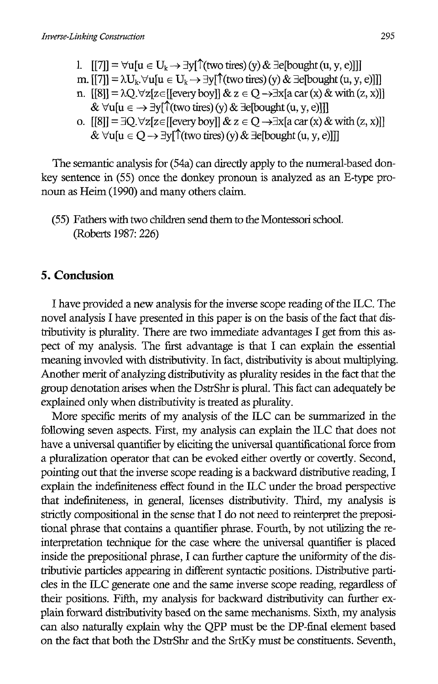1.  $[|7|] = \forall u[u \in U_k \rightarrow \exists y[\uparrow (two \text{ tires}) (y) \& \exists e[bought (u, y, e)]]]$ m.  $[[7]] = \lambda U_k$ .  $\forall u[u \in U_k \rightarrow \exists v[\uparrow](two \text{ tires})(y) \& \exists e[boundary (u, v, e)]]]$ n.  $[8] = \lambda Q. \forall z [z \in [[every boy]] \& z \in Q \rightarrow \exists x [a \operatorname{car}(x) \& \text{ with } (z, x)]]$ &  $\forall u[u \in \rightarrow \exists y[\uparrow$  (two tires) (y) &  $\exists e[\text{bought}(u, y, e)]]]$ o.  $[8]$ ] = 3Q. $\forall z[z \in [[\text{every boy}]] \& z \in Q \rightarrow \exists x[a \text{ car}(x) \& \text{ with}(z, x)]]$ &  $\forall u[u \in Q \rightarrow \exists y[\uparrow$  (two tires) (y) &  $\exists e$ [bought (u, y, e)]]]

The semantic analysis for (54a) can directly apply to the numeral-based donkey sentence in (55) once the donkey pronoun is analyzed as an E-type pronoun as Heim (1990) and many others claim.

(55) Fathers with two children send them to the Montessori school. (Roberts 1987: 226)

### **5. Conclusion**

I have provided a new analysis for the inverse scope reading of the ILC The novel analysis I have presented in this paper is on the basis of the fact that distributivity is plurality. There are two immediate advantages I get from this aspect of my analysis. The first advantage is that I can explain the essential meaning invovled with distributivity. In fact, distributivity is about multiplying. Another merit of analyzing distributivity as plurality resides in the fact that the group denotation arises when the DstrShr is plural. This fact can adequately be explained only when distributivity is treated as plurality.

More specific merits of my analysis of the ILC can be summarized in the following seven aspects. First, my analysis can explain the ILC that does not have a universal quantifler by eliciting the universal quantiflcational force from a pluralization operator that can be evoked either overtly or covertly. Second, pointing out that the inverse scope reading is a backward distributive reading, I explain the indefiniteness effect found in the ILC under the broad perspective that indeflniteness, in general, licenses distributivity. Third, my analysis is strictly compositional in the sense that I do not need to reinterpret the prepositional phrase that contains a quantifler phrase. Fourth, by not utilizing the reinterpretation technique for the case where the universal quantifier is placed inside the prepositional phrase, I can further capture the uniformity of the distributivie particles appearing in different syntactic positions. Distributive particles in the ILe generate one and the same inverse scope reading, regardless of their positions. Fifth, my analysis for backward distributivity can further explain forward distributivity based on the same mechanisms. Sixth, my analysis can also naturally explain why the OPP must be the DP-final element based on the fact that both the DstrShr and the SrtKy must be constituents. Seventh,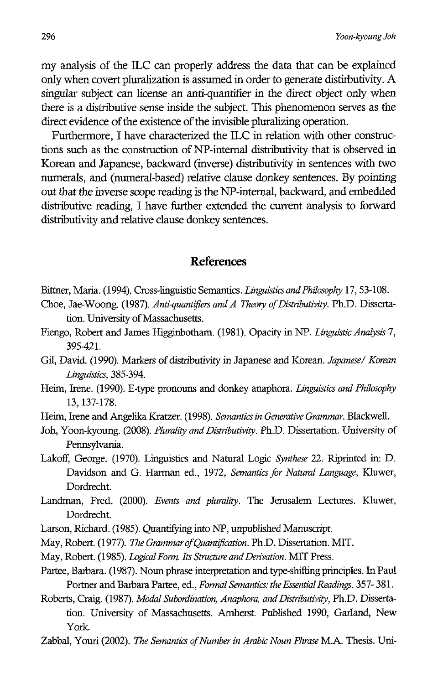my analysis of the ILC can properly address the data that can be explained only when covert pluralization is assumed in order to generate distirbutivity. A singular subject can license an anti-quantifier in the direct object only when there is a distributive sense inside the subject. This phenomenon serves as the direct evidence of the existence of the invisible pluralizing operation.

Furthermore, I have characterized the ILC in relation with other constructions such as the construction of NP-internal distributivity that is observed in Korean and Japanese, backward (inverse) distributivity in sentences with two numerals, and (numeral-based) relative clause donkey sentences. By pointing out that the inverse scope reading is the NP-intemal, backward, and embedded distributive reading, I have further extended the current analysis to forward distributivity and relative clause donkey sentences.

### **References**

- Bittner, Maria. (1994). Cross-linguistic Semantics. *Linguistics and Philosophy* 17, 53-108.
- Choe, Jae-Woong. (1987). Anti-quantifiers and A Theory of Distributivity. Ph.D. Dissertation. University of Massachusetts.
- Fiengo, Robert and James Higginbotham. (1981). Opacity in NP. *Linguistic Analysis 7,*  395421.
- Gil, David. (1990). Markers of distributivity in Japanese and Korean. *Japanese/ Korean Linguistics, 385-394.*
- Heim, Irene. (1990). E-type pronouns and donkey anaphora. *Linguistics and Philosophy*  13, 137-178.
- Heim, Irene and Angelika Kratzer. (1998). *Semantics in Generative Grammar.* Blackwell.
- Joh, Yoon-kyoung. (2008). *Plurality and Distributivity.* Ph.D. Dissertation. University of Pennsylvania.
- Lakoff, George. (1970). Linguistics and Natural Logic *Synthese* 22. Riprinted in: D. Davidson and G. Harman ed., 1972, *Semantics for Natural Language,* Kluwer, Dordrecht.
- Landman, Fred. (2000). *Events and plurality.* The Jerusalem Lectures. Kluwer, Dordrecht.
- Larson, Richard. (1985). Quantifying into NP, unpublished Manuscript.
- May, Robert. (1977). *The GrammarofQuantijication.* Ph.D. Dissertation. MIT.
- May, Robert. (1985). *Logical Form. Its Structure and Derivation.* MIT Press.
- Partee, Barbara. (1987). Noun phrase interpretation and type-shifting principles. In Paul Portner and Barbara Partee, ed., *Formal Semantics: the Essential Readings.* 357- 381.
- Roberts, Craig. (1987). *Modal Subordination, Anaphora, and Distributivity*, Ph.D. Dissertation. University of Massachusetts. Arnherst. Published 1990, Garland, New York.
- Zabbal, Youri (2002). *The Semantics of Number in Arabic Noun Phrase* MA Thesis. Uni-